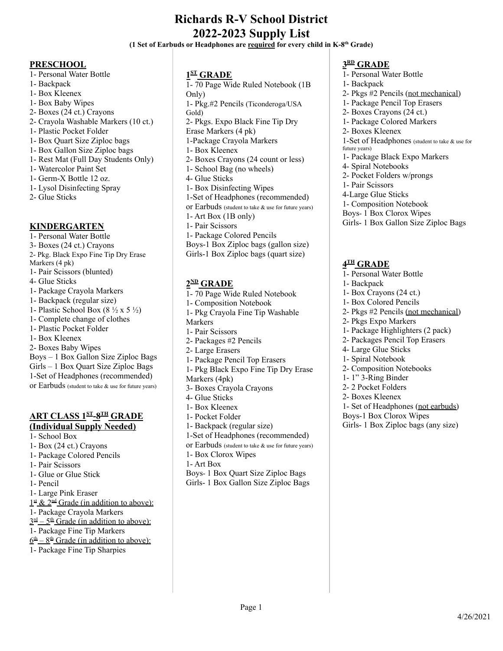# **Richards R-V School District 2022-2023 Supply List**

**(1 Set of Earbuds or Headphones are required for every child in K-8th Grade)**

### **PRESCHOOL**

1- Personal Water Bottle 1- Backpack 1- Box Kleenex 1- Box Baby Wipes 2- Boxes (24 ct.) Crayons 2- Crayola Washable Markers (10 ct.) 1- Plastic Pocket Folder 1- Box Quart Size Ziploc bags 1- Box Gallon Size Ziploc bags 1- Rest Mat (Full Day Students Only) 1- Watercolor Paint Set 1- Germ-X Bottle 12 oz. 1- Lysol Disinfecting Spray 2- Glue Sticks

# **KINDERGARTEN**

1- Personal Water Bottle 3- Boxes (24 ct.) Crayons 2- Pkg. Black Expo Fine Tip Dry Erase Markers (4 pk) 1- Pair Scissors (blunted) 4- Glue Sticks 1- Package Crayola Markers 1- Backpack (regular size) 1- Plastic School Box  $(8 \frac{1}{2} \times 5 \frac{1}{2})$ 1- Complete change of clothes 1- Plastic Pocket Folder 1- Box Kleenex 2- Boxes Baby Wipes Boys – 1 Box Gallon Size Ziploc Bags Girls – 1 Box Quart Size Ziploc Bags 1-Set of Headphones (recommended) or Earbuds (student to take & use for future years)

# **ART CLASS 1 ST -8 TH GRADE (Individual Supply Needed)**

- 1- School Box
- 1- Box (24 ct.) Crayons
- 1- Package Colored Pencils
- 1- Pair Scissors
- 1- Glue or Glue Stick
- 1- Pencil
- 1- Large Pink Eraser
- $1<sup>st</sup>$  &  $2<sup>nd</sup>$  Grade (in addition to above):
- 1- Package Crayola Markers
- $3<sup>rd</sup> 5<sup>th</sup>$  Grade (in addition to above):
- 1- Package Fine Tip Markers
- $6<sup>th</sup> 8<sup>th</sup>$  Grade (in addition to above):
- 1- Package Fine Tip Sharpies

# **1 ST GRADE**

1- 70 Page Wide Ruled Notebook (1B Only) 1- Pkg.#2 Pencils (Ticonderoga/USA Gold) 2- Pkgs. Expo Black Fine Tip Dry Erase Markers (4 pk) 1-Package Crayola Markers 1- Box Kleenex 2- Boxes Crayons (24 count or less) 1- School Bag (no wheels) 4- Glue Sticks 1- Box Disinfecting Wipes 1-Set of Headphones (recommended) or Earbuds (student to take & use for future years) 1- Art Box (1B only) 1- Pair Scissors 1- Package Colored Pencils Boys-1 Box Ziploc bags (gallon size) Girls-1 Box Ziploc bags (quart size)

### **2 ND GRADE**

- 1- 70 Page Wide Ruled Notebook
- 1- Composition Notebook
- 1- Pkg Crayola Fine Tip Washable
- Markers
- 1- Pair Scissors
- 2- Packages #2 Pencils
- 2- Large Erasers
- 1- Package Pencil Top Erasers
- 1- Pkg Black Expo Fine Tip Dry Erase
- Markers (4pk) 3- Boxes Crayola Crayons
- 4- Glue Sticks
- 1- Box Kleenex
- 1- Pocket Folder
- 1- Backpack (regular size)
- 1-Set of Headphones (recommended)
- or Earbuds (student to take & use for future years)
- 1- Box Clorox Wipes
- 1- Art Box
- Boys- 1 Box Quart Size Ziploc Bags
- Girls- 1 Box Gallon Size Ziploc Bags

# **3 RD GRADE**

- 1- Personal Water Bottle 1- Backpack 2- Pkgs #2 Pencils (not mechanical) 1- Package Pencil Top Erasers 2- Boxes Crayons (24 ct.) 1- Package Colored Markers 2- Boxes Kleenex 1-Set of Headphones (student to take & use for future years) 1- Package Black Expo Markers 4- Spiral Notebooks 2- Pocket Folders w/prongs 1- Pair Scissors 4-Large Glue Sticks 1- Composition Notebook Boys- 1 Box Clorox Wipes
- Girls- 1 Box Gallon Size Ziploc Bags

# **4 TH GRADE**

- 1- Personal Water Bottle
- 1- Backpack
- 1- Box Crayons (24 ct.)
- 1- Box Colored Pencils
- 2- Pkgs #2 Pencils (not mechanical)
- 2- Pkgs Expo Markers
- 1- Package Highlighters (2 pack)
- 2- Packages Pencil Top Erasers
- 4- Large Glue Sticks
- 1- Spiral Notebook
- 2- Composition Notebooks
- 1- 1" 3-Ring Binder
- 2- 2 Pocket Folders
- 2- Boxes Kleenex
- 1- Set of Headphones (not earbuds)
- Boys-1 Box Clorox Wipes
- Girls- 1 Box Ziploc bags (any size)